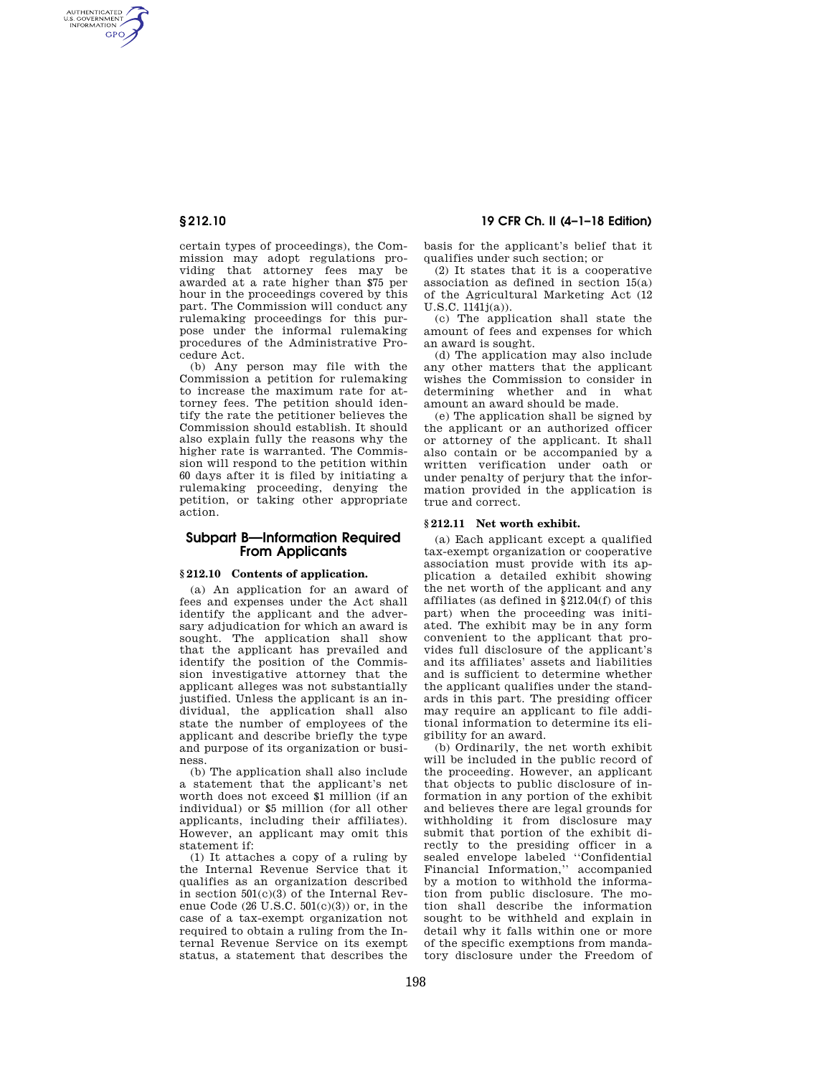AUTHENTICATED<br>U.S. GOVERNMENT<br>INFORMATION **GPO** 

> certain types of proceedings), the Commission may adopt regulations providing that attorney fees may be awarded at a rate higher than \$75 per hour in the proceedings covered by this part. The Commission will conduct any rulemaking proceedings for this purpose under the informal rulemaking procedures of the Administrative Procedure Act.

> (b) Any person may file with the Commission a petition for rulemaking to increase the maximum rate for attorney fees. The petition should identify the rate the petitioner believes the Commission should establish. It should also explain fully the reasons why the higher rate is warranted. The Commission will respond to the petition within 60 days after it is filed by initiating a rulemaking proceeding, denying the petition, or taking other appropriate action.

# **Subpart B—Information Required From Applicants**

## **§ 212.10 Contents of application.**

(a) An application for an award of fees and expenses under the Act shall identify the applicant and the adversary adjudication for which an award is sought. The application shall show that the applicant has prevailed and identify the position of the Commission investigative attorney that the applicant alleges was not substantially justified. Unless the applicant is an individual, the application shall also state the number of employees of the applicant and describe briefly the type and purpose of its organization or business.

(b) The application shall also include a statement that the applicant's net worth does not exceed \$1 million (if an individual) or \$5 million (for all other applicants, including their affiliates). However, an applicant may omit this statement if:

(1) It attaches a copy of a ruling by the Internal Revenue Service that it qualifies as an organization described in section 501(c)(3) of the Internal Revenue Code  $(26 \text{ U.S.C. } 501 \text{ (c)}(3))$  or, in the case of a tax-exempt organization not required to obtain a ruling from the Internal Revenue Service on its exempt status, a statement that describes the

# **§ 212.10 19 CFR Ch. II (4–1–18 Edition)**

basis for the applicant's belief that it qualifies under such section; or

(2) It states that it is a cooperative association as defined in section 15(a) of the Agricultural Marketing Act (12 U.S.C. 1141j(a)).

(c) The application shall state the amount of fees and expenses for which an award is sought.

(d) The application may also include any other matters that the applicant wishes the Commission to consider in determining whether and in what amount an award should be made.

(e) The application shall be signed by the applicant or an authorized officer or attorney of the applicant. It shall also contain or be accompanied by a written verification under oath or under penalty of perjury that the information provided in the application is true and correct.

## **§ 212.11 Net worth exhibit.**

(a) Each applicant except a qualified tax-exempt organization or cooperative association must provide with its application a detailed exhibit showing the net worth of the applicant and any affiliates (as defined in §212.04(f) of this part) when the proceeding was initiated. The exhibit may be in any form convenient to the applicant that provides full disclosure of the applicant's and its affiliates' assets and liabilities and is sufficient to determine whether the applicant qualifies under the standards in this part. The presiding officer may require an applicant to file additional information to determine its eligibility for an award.

(b) Ordinarily, the net worth exhibit will be included in the public record of the proceeding. However, an applicant that objects to public disclosure of information in any portion of the exhibit and believes there are legal grounds for withholding it from disclosure may submit that portion of the exhibit directly to the presiding officer in a sealed envelope labeled ''Confidential Financial Information,'' accompanied by a motion to withhold the information from public disclosure. The motion shall describe the information sought to be withheld and explain in detail why it falls within one or more of the specific exemptions from mandatory disclosure under the Freedom of